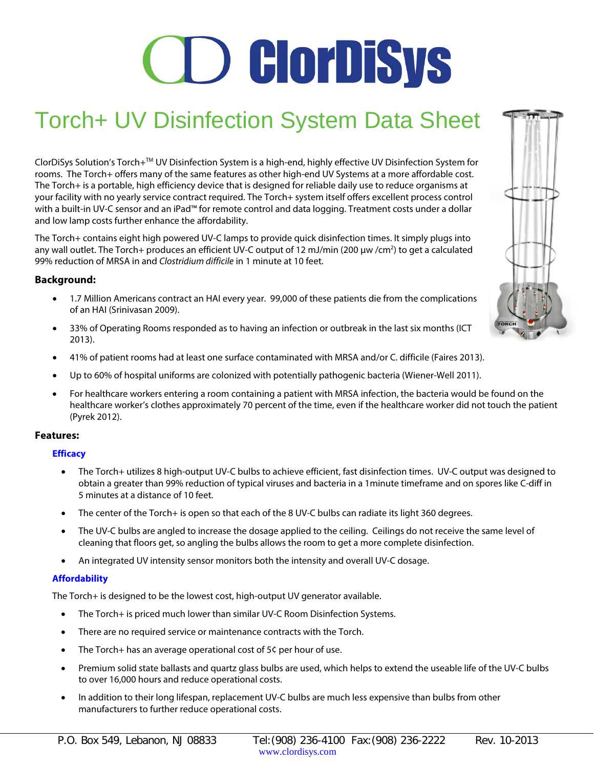# **CD ClorDiSys**

# Torch+ UV Disinfection System Data Sheet

ClorDiSys Solution's Torch+TM UV Disinfection System is a high-end, highly effective UV Disinfection System for rooms. The Torch+ offers many of the same features as other high-end UV Systems at a more affordable cost. The Torch+ is a portable, high efficiency device that is designed for reliable daily use to reduce organisms at your facility with no yearly service contract required. The Torch+ system itself offers excellent process control with a built-in UV-C sensor and an iPad™ for remote control and data logging. Treatment costs under a dollar and low lamp costs further enhance the affordability.

The Torch+ contains eight high powered UV-C lamps to provide quick disinfection times. It simply plugs into any wall outlet. The Torch+ produces an efficient UV-C output of 12 mJ/min (200 µw /cm<sup>2</sup>) to get a calculated 99% reduction of MRSA in and *Clostridium difficile* in 1 minute at 10 feet.

# **Background:**

- 1.7 Million Americans contract an HAI every year. 99,000 of these patients die from the complications of an HAI (Srinivasan 2009).
- 33% of Operating Rooms responded as to having an infection or outbreak in the last six months (ICT 2013).
- 41% of patient rooms had at least one surface contaminated with MRSA and/or C. difficile (Faires 2013).
- Up to 60% of hospital uniforms are colonized with potentially pathogenic bacteria (Wiener-Well 2011).
- For healthcare workers entering a room containing a patient with MRSA infection, the bacteria would be found on the healthcare worker's clothes approximately 70 percent of the time, even if the healthcare worker did not touch the patient (Pyrek 2012).

# **Features:**

# **Efficacy**

- The Torch+ utilizes 8 high-output UV-C bulbs to achieve efficient, fast disinfection times. UV-C output was designed to obtain a greater than 99% reduction of typical viruses and bacteria in a 1minute timeframe and on spores like C-diff in 5 minutes at a distance of 10 feet.
- The center of the Torch+ is open so that each of the 8 UV-C bulbs can radiate its light 360 degrees.
- The UV-C bulbs are angled to increase the dosage applied to the ceiling. Ceilings do not receive the same level of cleaning that floors get, so angling the bulbs allows the room to get a more complete disinfection.
- An integrated UV intensity sensor monitors both the intensity and overall UV-C dosage.

# **Affordability**

The Torch+ is designed to be the lowest cost, high-output UV generator available.

- The Torch+ is priced much lower than similar UV-C Room Disinfection Systems.
- There are no required service or maintenance contracts with the Torch.
- The Torch+ has an average operational cost of 5¢ per hour of use.
- Premium solid state ballasts and quartz glass bulbs are used, which helps to extend the useable life of the UV-C bulbs to over 16,000 hours and reduce operational costs.
- In addition to their long lifespan, replacement UV-C bulbs are much less expensive than bulbs from other manufacturers to further reduce operational costs.

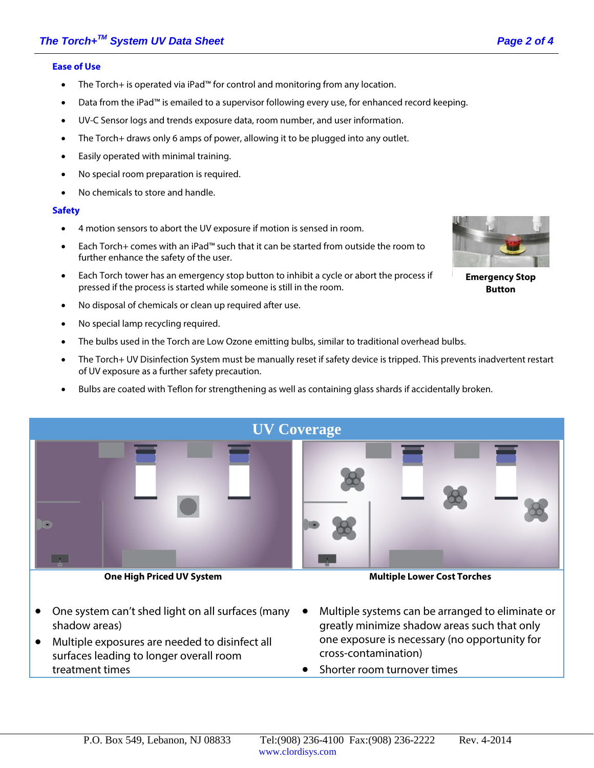#### **Ease of Use**

- The Torch+ is operated via iPad™ for control and monitoring from any location.
- Data from the iPad™ is emailed to a supervisor following every use, for enhanced record keeping.
- UV-C Sensor logs and trends exposure data, room number, and user information.
- The Torch+ draws only 6 amps of power, allowing it to be plugged into any outlet.
- Easily operated with minimal training.
- No special room preparation is required.
- No chemicals to store and handle.

#### **Safety**

- 4 motion sensors to abort the UV exposure if motion is sensed in room.
- Each Torch+ comes with an iPad™ such that it can be started from outside the room to further enhance the safety of the user.
- Each Torch tower has an emergency stop button to inhibit a cycle or abort the process if pressed if the process is started while someone is still in the room.
- No disposal of chemicals or clean up required after use.
- No special lamp recycling required.
- The bulbs used in the Torch are Low Ozone emitting bulbs, similar to traditional overhead bulbs.
- The Torch+ UV Disinfection System must be manually reset if safety device is tripped. This prevents inadvertent restart of UV exposure as a further safety precaution.
- Bulbs are coated with Teflon for strengthening as well as containing glass shards if accidentally broken.



**One High Priced UV System**

**Multiple Lower Cost Torches**

- One system can't shed light on all surfaces (many shadow areas)
- Multiple exposures are needed to disinfect all surfaces leading to longer overall room treatment times
- Multiple systems can be arranged to eliminate or greatly minimize shadow areas such that only one exposure is necessary (no opportunity for cross-contamination)
- Shorter room turnover times



**Emergency Stop Button**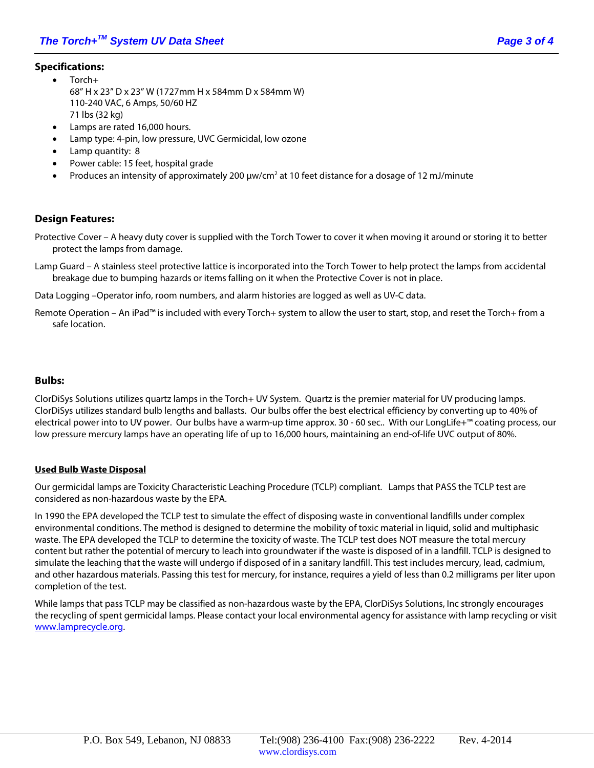# **Specifications:**

- Torch+ 68" H x 23" D x 23" W (1727mm H x 584mm D x 584mm W) 110-240 VAC, 6 Amps, 50/60 HZ 71 lbs (32 kg)
- Lamps are rated 16,000 hours.
- Lamp type: 4-pin, low pressure, UVC Germicidal, low ozone
- Lamp quantity: 8
- Power cable: 15 feet, hospital grade
- Produces an intensity of approximately 200 µw/cm2 at 10 feet distance for a dosage of 12 mJ/minute

# **Design Features:**

- Protective Cover A heavy duty cover is supplied with the Torch Tower to cover it when moving it around or storing it to better protect the lamps from damage.
- Lamp Guard A stainless steel protective lattice is incorporated into the Torch Tower to help protect the lamps from accidental breakage due to bumping hazards or items falling on it when the Protective Cover is not in place.

Data Logging –Operator info, room numbers, and alarm histories are logged as well as UV-C data.

Remote Operation – An iPad™ is included with every Torch+ system to allow the user to start, stop, and reset the Torch+ from a safe location.

#### **Bulbs:**

ClorDiSys Solutions utilizes quartz lamps in the Torch+ UV System. Quartz is the premier material for UV producing lamps. ClorDiSys utilizes standard bulb lengths and ballasts. Our bulbs offer the best electrical efficiency by converting up to 40% of electrical power into to UV power. Our bulbs have a warm-up time approx. 30 - 60 sec.. With our LongLife+™ coating process, our low pressure mercury lamps have an operating life of up to 16,000 hours, maintaining an end-of-life UVC output of 80%.

#### **Used Bulb Waste Disposal**

Our germicidal lamps are Toxicity Characteristic Leaching Procedure (TCLP) compliant. Lamps that PASS the TCLP test are considered as non-hazardous waste by the EPA.

In 1990 the EPA developed the TCLP test to simulate the effect of disposing waste in conventional landfills under complex environmental conditions. The method is designed to determine the mobility of toxic material in liquid, solid and multiphasic waste. The EPA developed the TCLP to determine the toxicity of waste. The TCLP test does NOT measure the total mercury content but rather the potential of mercury to leach into groundwater if the waste is disposed of in a landfill. TCLP is designed to simulate the leaching that the waste will undergo if disposed of in a sanitary landfill. This test includes mercury, lead, cadmium, and other hazardous materials. Passing this test for mercury, for instance, requires a yield of less than 0.2 milligrams per liter upon completion of the test.

While lamps that pass TCLP may be classified as non-hazardous waste by the EPA, ClorDiSys Solutions, Inc strongly encourages the recycling of spent germicidal lamps. Please contact your local environmental agency for assistance with lamp recycling or visit [www.lamprecycle.org.](http://www.lamprecycle.org/)